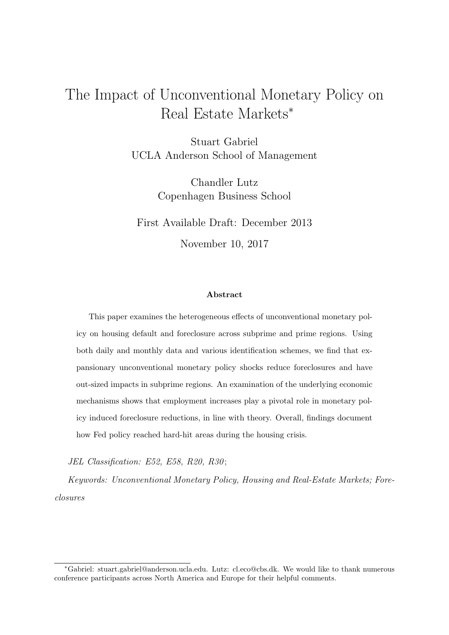## The Impact of Unconventional Monetary Policy on Real Estate Markets<sup>∗</sup>

Stuart Gabriel UCLA Anderson School of Management

> Chandler Lutz Copenhagen Business School

First Available Draft: December 2013 November 10, 2017

### Abstract

This paper examines the heterogeneous effects of unconventional monetary policy on housing default and foreclosure across subprime and prime regions. Using both daily and monthly data and various identification schemes, we find that expansionary unconventional monetary policy shocks reduce foreclosures and have out-sized impacts in subprime regions. An examination of the underlying economic mechanisms shows that employment increases play a pivotal role in monetary policy induced foreclosure reductions, in line with theory. Overall, findings document how Fed policy reached hard-hit areas during the housing crisis.

JEL Classification: E52, E58, R20, R30;

Keywords: Unconventional Monetary Policy, Housing and Real-Estate Markets; Foreclosures

<sup>∗</sup>Gabriel: stuart.gabriel@anderson.ucla.edu. Lutz: cl.eco@cbs.dk. We would like to thank numerous conference participants across North America and Europe for their helpful comments.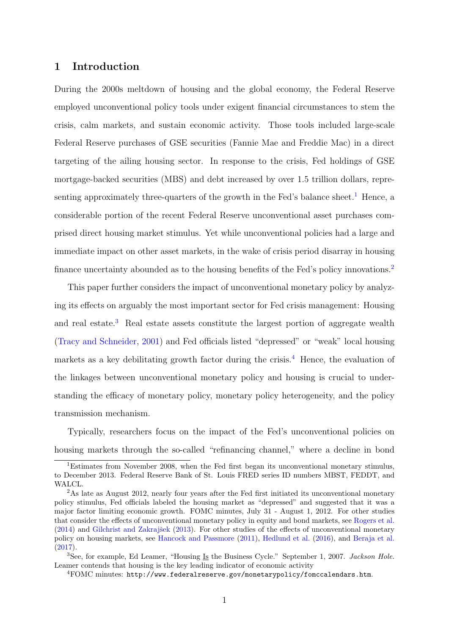### 1 Introduction

During the 2000s meltdown of housing and the global economy, the Federal Reserve employed unconventional policy tools under exigent financial circumstances to stem the crisis, calm markets, and sustain economic activity. Those tools included large-scale Federal Reserve purchases of GSE securities (Fannie Mae and Freddie Mac) in a direct targeting of the ailing housing sector. In response to the crisis, Fed holdings of GSE mortgage-backed securities (MBS) and debt increased by over 1.5 trillion dollars, repre-senting approximately three-quarters of the growth in the Fed's balance sheet.<sup>[1](#page-1-0)</sup> Hence, a considerable portion of the recent Federal Reserve unconventional asset purchases comprised direct housing market stimulus. Yet while unconventional policies had a large and immediate impact on other asset markets, in the wake of crisis period disarray in housing finance uncertainty abounded as to the housing benefits of the Fed's policy innovations.[2](#page-1-1)

This paper further considers the impact of unconventional monetary policy by analyzing its effects on arguably the most important sector for Fed crisis management: Housing and real estate.[3](#page-1-2) Real estate assets constitute the largest portion of aggregate wealth [\(Tracy and Schneider,](#page-25-0) [2001\)](#page-25-0) and Fed officials listed "depressed" or "weak" local housing markets as a key debilitating growth factor during the crisis.<sup>[4](#page-1-3)</sup> Hence, the evaluation of the linkages between unconventional monetary policy and housing is crucial to understanding the efficacy of monetary policy, monetary policy heterogeneity, and the policy transmission mechanism.

Typically, researchers focus on the impact of the Fed's unconventional policies on housing markets through the so-called "refinancing channel," where a decline in bond

<span id="page-1-0"></span><sup>&</sup>lt;sup>1</sup>Estimates from November 2008, when the Fed first began its unconventional monetary stimulus, to December 2013. Federal Reserve Bank of St. Louis FRED series ID numbers MBST, FEDDT, and WALCL.

<span id="page-1-1"></span><sup>&</sup>lt;sup>2</sup>As late as August 2012, nearly four years after the Fed first initiated its unconventional monetary policy stimulus, Fed officials labeled the housing market as "depressed" and suggested that it was a major factor limiting economic growth. FOMC minutes, July 31 - August 1, 2012. For other studies that consider the effects of unconventional monetary policy in equity and bond markets, see [Rogers et al.](#page-25-1)  $(2014)$  and Gilchrist and Zakrajšek  $(2013)$ . For other studies of the effects of unconventional monetary policy on housing markets, see [Hancock and Passmore](#page-24-1) [\(2011\)](#page-24-1), [Hedlund et al.](#page-24-2) [\(2016\)](#page-24-2), and [Beraja et al.](#page-24-3) [\(2017\)](#page-24-3).

<span id="page-1-2"></span><sup>&</sup>lt;sup>3</sup>See, for example, Ed Leamer, "Housing Is the Business Cycle." September 1, 2007. *Jackson Hole.* Leamer contends that housing is the key leading indicator of economic activity

<span id="page-1-3"></span><sup>4</sup>FOMC minutes: http://www.federalreserve.gov/monetarypolicy/fomccalendars.htm.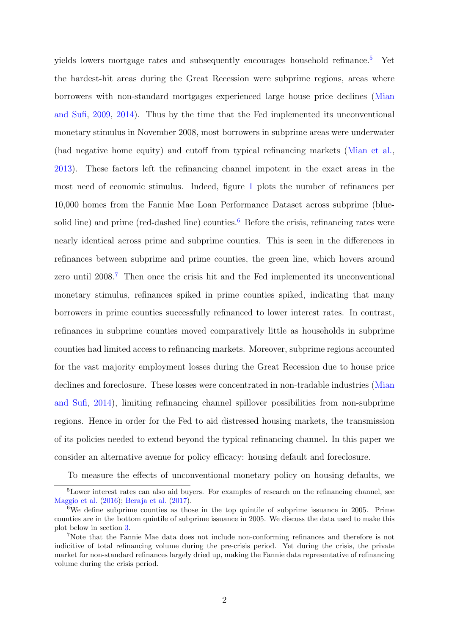yields lowers mortgage rates and subsequently encourages household refinance.<sup>[5](#page-2-0)</sup> Yet the hardest-hit areas during the Great Recession were subprime regions, areas where borrowers with non-standard mortgages experienced large house price declines [\(Mian](#page-25-2) [and Sufi,](#page-25-2) [2009,](#page-25-2) [2014\)](#page-25-3). Thus by the time that the Fed implemented its unconventional monetary stimulus in November 2008, most borrowers in subprime areas were underwater (had negative home equity) and cutoff from typical refinancing markets [\(Mian et al.,](#page-25-4) [2013\)](#page-25-4). These factors left the refinancing channel impotent in the exact areas in the most need of economic stimulus. Indeed, figure [1](#page-28-0) plots the number of refinances per 10,000 homes from the Fannie Mae Loan Performance Dataset across subprime (blue-solid line) and prime (red-dashed line) counties.<sup>[6](#page-2-1)</sup> Before the crisis, refinancing rates were nearly identical across prime and subprime counties. This is seen in the differences in refinances between subprime and prime counties, the green line, which hovers around zero until 2008.[7](#page-2-2) Then once the crisis hit and the Fed implemented its unconventional monetary stimulus, refinances spiked in prime counties spiked, indicating that many borrowers in prime counties successfully refinanced to lower interest rates. In contrast, refinances in subprime counties moved comparatively little as households in subprime counties had limited access to refinancing markets. Moreover, subprime regions accounted for the vast majority employment losses during the Great Recession due to house price declines and foreclosure. These losses were concentrated in non-tradable industries [\(Mian](#page-25-3) [and Sufi,](#page-25-3) [2014\)](#page-25-3), limiting refinancing channel spillover possibilities from non-subprime regions. Hence in order for the Fed to aid distressed housing markets, the transmission of its policies needed to extend beyond the typical refinancing channel. In this paper we consider an alternative avenue for policy efficacy: housing default and foreclosure.

<span id="page-2-0"></span>To measure the effects of unconventional monetary policy on housing defaults, we

<sup>5</sup>Lower interest rates can also aid buyers. For examples of research on the refinancing channel, see [Maggio et al.](#page-25-5) [\(2016\)](#page-25-5); [Beraja et al.](#page-24-3) [\(2017\)](#page-24-3).

<span id="page-2-1"></span> $6$ We define subprime counties as those in the top quintile of subprime issuance in 2005. Prime counties are in the bottom quintile of subprime issuance in 2005. We discuss the data used to make this plot below in section [3.](#page-7-0)

<span id="page-2-2"></span><sup>7</sup>Note that the Fannie Mae data does not include non-conforming refinances and therefore is not indicitive of total refinancing volume during the pre-crisis period. Yet during the crisis, the private market for non-standard refinances largely dried up, making the Fannie data representative of refinancing volume during the crisis period.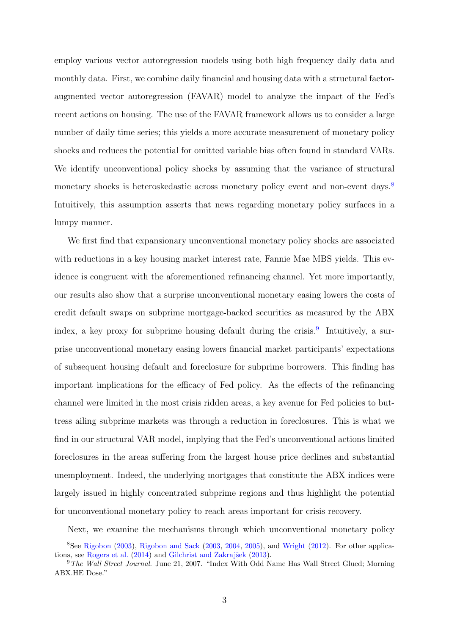employ various vector autoregression models using both high frequency daily data and monthly data. First, we combine daily financial and housing data with a structural factoraugmented vector autoregression (FAVAR) model to analyze the impact of the Fed's recent actions on housing. The use of the FAVAR framework allows us to consider a large number of daily time series; this yields a more accurate measurement of monetary policy shocks and reduces the potential for omitted variable bias often found in standard VARs. We identify unconventional policy shocks by assuming that the variance of structural monetary shocks is heteroskedastic across monetary policy event and non-event days.[8](#page-3-0) Intuitively, this assumption asserts that news regarding monetary policy surfaces in a lumpy manner.

We first find that expansionary unconventional monetary policy shocks are associated with reductions in a key housing market interest rate, Fannie Mae MBS yields. This evidence is congruent with the aforementioned refinancing channel. Yet more importantly, our results also show that a surprise unconventional monetary easing lowers the costs of credit default swaps on subprime mortgage-backed securities as measured by the ABX index, a key proxy for subprime housing default during the crisis.<sup>[9](#page-3-1)</sup> Intuitively, a surprise unconventional monetary easing lowers financial market participants' expectations of subsequent housing default and foreclosure for subprime borrowers. This finding has important implications for the efficacy of Fed policy. As the effects of the refinancing channel were limited in the most crisis ridden areas, a key avenue for Fed policies to buttress ailing subprime markets was through a reduction in foreclosures. This is what we find in our structural VAR model, implying that the Fed's unconventional actions limited foreclosures in the areas suffering from the largest house price declines and substantial unemployment. Indeed, the underlying mortgages that constitute the ABX indices were largely issued in highly concentrated subprime regions and thus highlight the potential for unconventional monetary policy to reach areas important for crisis recovery.

<span id="page-3-0"></span>Next, we examine the mechanisms through which unconventional monetary policy

<sup>8</sup>See [Rigobon](#page-25-6) [\(2003\)](#page-25-6), [Rigobon and Sack](#page-25-7) [\(2003,](#page-25-7) [2004,](#page-25-8) [2005\)](#page-25-9), and [Wright](#page-26-0) [\(2012\)](#page-26-0). For other applica-tions, see [Rogers et al.](#page-25-1)  $(2014)$  and Gilchrist and Zakrajšek  $(2013)$ .

<span id="page-3-1"></span><sup>&</sup>lt;sup>9</sup>The Wall Street Journal. June 21, 2007. "Index With Odd Name Has Wall Street Glued; Morning ABX.HE Dose."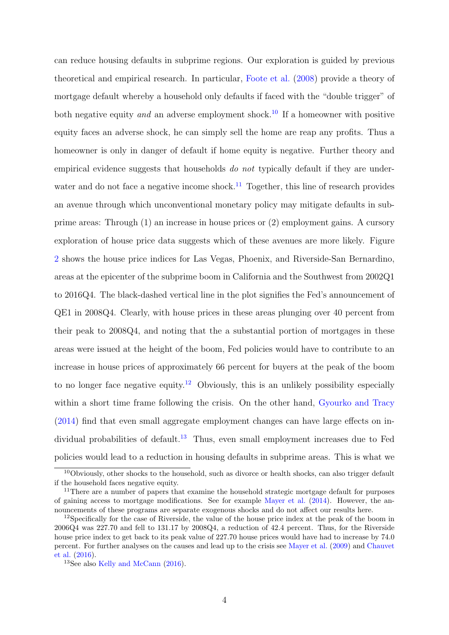can reduce housing defaults in subprime regions. Our exploration is guided by previous theoretical and empirical research. In particular, [Foote et al.](#page-24-4) [\(2008\)](#page-24-4) provide a theory of mortgage default whereby a household only defaults if faced with the "double trigger" of both negative equity and an adverse employment shock.<sup>[10](#page-4-0)</sup> If a homeowner with positive equity faces an adverse shock, he can simply sell the home are reap any profits. Thus a homeowner is only in danger of default if home equity is negative. Further theory and empirical evidence suggests that households do not typically default if they are under-water and do not face a negative income shock.<sup>[11](#page-4-1)</sup> Together, this line of research provides an avenue through which unconventional monetary policy may mitigate defaults in subprime areas: Through (1) an increase in house prices or (2) employment gains. A cursory exploration of house price data suggests which of these avenues are more likely. Figure [2](#page-29-0) shows the house price indices for Las Vegas, Phoenix, and Riverside-San Bernardino, areas at the epicenter of the subprime boom in California and the Southwest from 2002Q1 to 2016Q4. The black-dashed vertical line in the plot signifies the Fed's announcement of QE1 in 2008Q4. Clearly, with house prices in these areas plunging over 40 percent from their peak to 2008Q4, and noting that the a substantial portion of mortgages in these areas were issued at the height of the boom, Fed policies would have to contribute to an increase in house prices of approximately 66 percent for buyers at the peak of the boom to no longer face negative equity.<sup>[12](#page-4-2)</sup> Obviously, this is an unlikely possibility especially within a short time frame following the crisis. On the other hand, [Gyourko and Tracy](#page-24-5) [\(2014\)](#page-24-5) find that even small aggregate employment changes can have large effects on in-dividual probabilities of default.<sup>[13](#page-4-3)</sup> Thus, even small employment increases due to Fed policies would lead to a reduction in housing defaults in subprime areas. This is what we

<span id="page-4-0"></span><sup>10</sup>Obviously, other shocks to the household, such as divorce or health shocks, can also trigger default if the household faces negative equity.

<span id="page-4-1"></span><sup>&</sup>lt;sup>11</sup>There are a number of papers that examine the household strategic mortgage default for purposes of gaining access to mortgage modifications. See for example [Mayer et al.](#page-25-10) [\(2014\)](#page-25-10). However, the announcements of these programs are separate exogenous shocks and do not affect our results here.

<span id="page-4-2"></span><sup>&</sup>lt;sup>12</sup>Specifically for the case of Riverside, the value of the house price index at the peak of the boom in 2006Q4 was 227.70 and fell to 131.17 by 2008Q4, a reduction of 42.4 percent. Thus, for the Riverside house price index to get back to its peak value of 227.70 house prices would have had to increase by 74.0 percent. For further analyses on the causes and lead up to the crisis see [Mayer et al.](#page-25-11) [\(2009\)](#page-25-11) and [Chauvet](#page-24-6) [et al.](#page-24-6) [\(2016\)](#page-24-6).

<span id="page-4-3"></span><sup>&</sup>lt;sup>13</sup>See also [Kelly and McCann](#page-25-12) [\(2016\)](#page-25-12).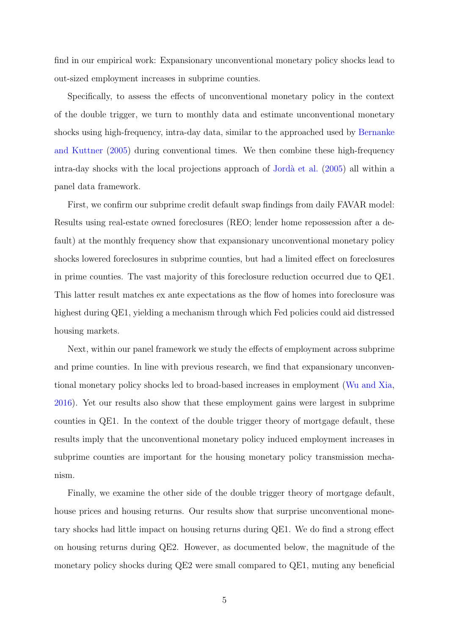find in our empirical work: Expansionary unconventional monetary policy shocks lead to out-sized employment increases in subprime counties.

Specifically, to assess the effects of unconventional monetary policy in the context of the double trigger, we turn to monthly data and estimate unconventional monetary shocks using high-frequency, intra-day data, similar to the approached used by [Bernanke](#page-24-7) [and Kuttner](#page-24-7) [\(2005\)](#page-24-7) during conventional times. We then combine these high-frequency intra-day shocks with the local projections approach of Jordà et al.  $(2005)$  all within a panel data framework.

First, we confirm our subprime credit default swap findings from daily FAVAR model: Results using real-estate owned foreclosures (REO; lender home repossession after a default) at the monthly frequency show that expansionary unconventional monetary policy shocks lowered foreclosures in subprime counties, but had a limited effect on foreclosures in prime counties. The vast majority of this foreclosure reduction occurred due to QE1. This latter result matches ex ante expectations as the flow of homes into foreclosure was highest during QE1, yielding a mechanism through which Fed policies could aid distressed housing markets.

Next, within our panel framework we study the effects of employment across subprime and prime counties. In line with previous research, we find that expansionary unconventional monetary policy shocks led to broad-based increases in employment [\(Wu and Xia,](#page-26-1) [2016\)](#page-26-1). Yet our results also show that these employment gains were largest in subprime counties in QE1. In the context of the double trigger theory of mortgage default, these results imply that the unconventional monetary policy induced employment increases in subprime counties are important for the housing monetary policy transmission mechanism.

Finally, we examine the other side of the double trigger theory of mortgage default, house prices and housing returns. Our results show that surprise unconventional monetary shocks had little impact on housing returns during QE1. We do find a strong effect on housing returns during QE2. However, as documented below, the magnitude of the monetary policy shocks during QE2 were small compared to QE1, muting any beneficial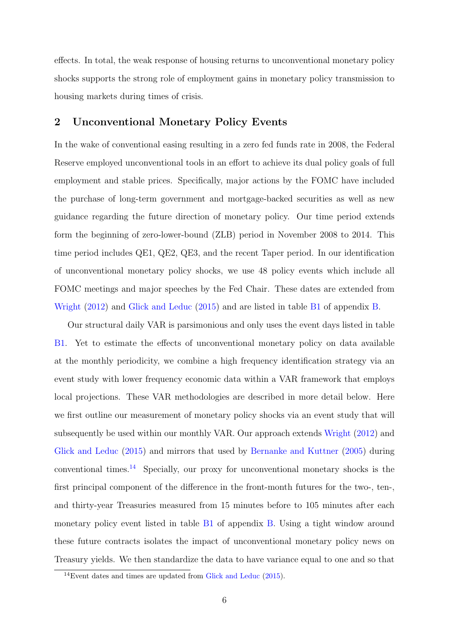effects. In total, the weak response of housing returns to unconventional monetary policy shocks supports the strong role of employment gains in monetary policy transmission to housing markets during times of crisis.

### 2 Unconventional Monetary Policy Events

In the wake of conventional easing resulting in a zero fed funds rate in 2008, the Federal Reserve employed unconventional tools in an effort to achieve its dual policy goals of full employment and stable prices. Specifically, major actions by the FOMC have included the purchase of long-term government and mortgage-backed securities as well as new guidance regarding the future direction of monetary policy. Our time period extends form the beginning of zero-lower-bound (ZLB) period in November 2008 to 2014. This time period includes QE1, QE2, QE3, and the recent Taper period. In our identification of unconventional monetary policy shocks, we use 48 policy events which include all FOMC meetings and major speeches by the Fed Chair. These dates are extended from [Wright](#page-26-0) [\(2012\)](#page-26-0) and [Glick and Leduc](#page-24-9) [\(2015\)](#page-24-9) and are listed in table [B1](#page-34-0) of appendix [B.](#page-34-1)

Our structural daily VAR is parsimonious and only uses the event days listed in table [B1.](#page-34-0) Yet to estimate the effects of unconventional monetary policy on data available at the monthly periodicity, we combine a high frequency identification strategy via an event study with lower frequency economic data within a VAR framework that employs local projections. These VAR methodologies are described in more detail below. Here we first outline our measurement of monetary policy shocks via an event study that will subsequently be used within our monthly VAR. Our approach extends [Wright](#page-26-0) [\(2012\)](#page-26-0) and [Glick and Leduc](#page-24-9) [\(2015\)](#page-24-9) and mirrors that used by [Bernanke and Kuttner](#page-24-7) [\(2005\)](#page-24-7) during conventional times.[14](#page-6-0) Specially, our proxy for unconventional monetary shocks is the first principal component of the difference in the front-month futures for the two-, ten-, and thirty-year Treasuries measured from 15 minutes before to 105 minutes after each monetary policy event listed in table [B1](#page-34-0) of appendix [B.](#page-34-1) Using a tight window around these future contracts isolates the impact of unconventional monetary policy news on Treasury yields. We then standardize the data to have variance equal to one and so that

<span id="page-6-0"></span><sup>14</sup>Event dates and times are updated from [Glick and Leduc](#page-24-9) [\(2015\)](#page-24-9).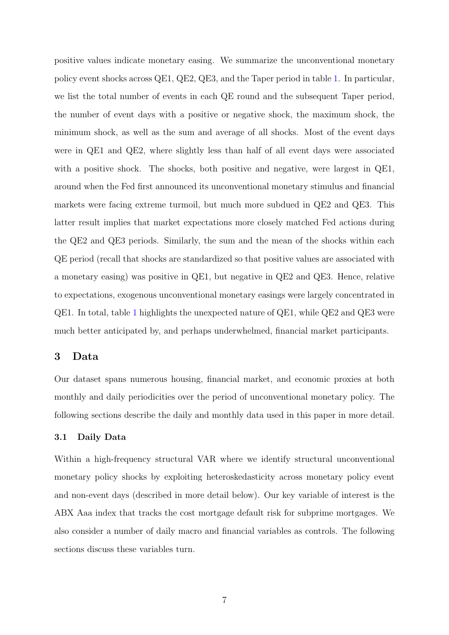positive values indicate monetary easing. We summarize the unconventional monetary policy event shocks across QE1, QE2, QE3, and the Taper period in table [1.](#page-27-0) In particular, we list the total number of events in each QE round and the subsequent Taper period, the number of event days with a positive or negative shock, the maximum shock, the minimum shock, as well as the sum and average of all shocks. Most of the event days were in QE1 and QE2, where slightly less than half of all event days were associated with a positive shock. The shocks, both positive and negative, were largest in QE1, around when the Fed first announced its unconventional monetary stimulus and financial markets were facing extreme turmoil, but much more subdued in QE2 and QE3. This latter result implies that market expectations more closely matched Fed actions during the QE2 and QE3 periods. Similarly, the sum and the mean of the shocks within each QE period (recall that shocks are standardized so that positive values are associated with a monetary easing) was positive in QE1, but negative in QE2 and QE3. Hence, relative to expectations, exogenous unconventional monetary easings were largely concentrated in QE1. In total, table [1](#page-27-0) highlights the unexpected nature of QE1, while QE2 and QE3 were much better anticipated by, and perhaps underwhelmed, financial market participants.

### <span id="page-7-0"></span>3 Data

Our dataset spans numerous housing, financial market, and economic proxies at both monthly and daily periodicities over the period of unconventional monetary policy. The following sections describe the daily and monthly data used in this paper in more detail.

### 3.1 Daily Data

Within a high-frequency structural VAR where we identify structural unconventional monetary policy shocks by exploiting heteroskedasticity across monetary policy event and non-event days (described in more detail below). Our key variable of interest is the ABX Aaa index that tracks the cost mortgage default risk for subprime mortgages. We also consider a number of daily macro and financial variables as controls. The following sections discuss these variables turn.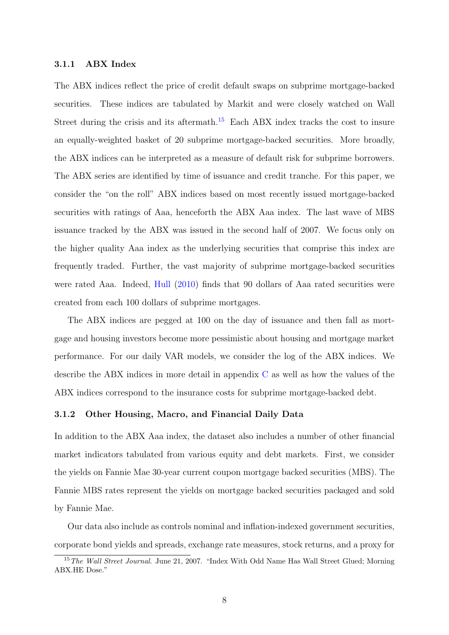### 3.1.1 ABX Index

The ABX indices reflect the price of credit default swaps on subprime mortgage-backed securities. These indices are tabulated by Markit and were closely watched on Wall Street during the crisis and its aftermath.<sup>[15](#page-8-0)</sup> Each ABX index tracks the cost to insure an equally-weighted basket of 20 subprime mortgage-backed securities. More broadly, the ABX indices can be interpreted as a measure of default risk for subprime borrowers. The ABX series are identified by time of issuance and credit tranche. For this paper, we consider the "on the roll" ABX indices based on most recently issued mortgage-backed securities with ratings of Aaa, henceforth the ABX Aaa index. The last wave of MBS issuance tracked by the ABX was issued in the second half of 2007. We focus only on the higher quality Aaa index as the underlying securities that comprise this index are frequently traded. Further, the vast majority of subprime mortgage-backed securities were rated Aaa. Indeed, [Hull](#page-24-10) [\(2010\)](#page-24-10) finds that 90 dollars of Aaa rated securities were created from each 100 dollars of subprime mortgages.

The ABX indices are pegged at 100 on the day of issuance and then fall as mortgage and housing investors become more pessimistic about housing and mortgage market performance. For our daily VAR models, we consider the log of the ABX indices. We describe the ABX indices in more detail in appendix [C](#page-35-0) as well as how the values of the ABX indices correspond to the insurance costs for subprime mortgage-backed debt.

### 3.1.2 Other Housing, Macro, and Financial Daily Data

In addition to the ABX Aaa index, the dataset also includes a number of other financial market indicators tabulated from various equity and debt markets. First, we consider the yields on Fannie Mae 30-year current coupon mortgage backed securities (MBS). The Fannie MBS rates represent the yields on mortgage backed securities packaged and sold by Fannie Mae.

Our data also include as controls nominal and inflation-indexed government securities, corporate bond yields and spreads, exchange rate measures, stock returns, and a proxy for

<span id="page-8-0"></span><sup>&</sup>lt;sup>15</sup>The Wall Street Journal. June 21, 2007. "Index With Odd Name Has Wall Street Glued; Morning ABX.HE Dose."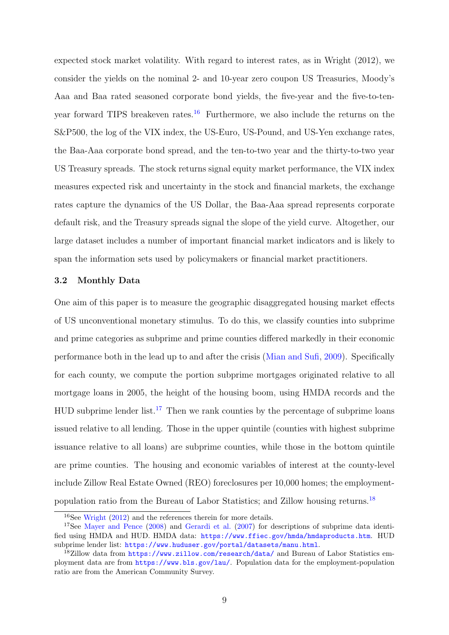expected stock market volatility. With regard to interest rates, as in Wright (2012), we consider the yields on the nominal 2- and 10-year zero coupon US Treasuries, Moody's Aaa and Baa rated seasoned corporate bond yields, the five-year and the five-to-ten-year forward TIPS breakeven rates.<sup>[16](#page-9-0)</sup> Furthermore, we also include the returns on the S&P500, the log of the VIX index, the US-Euro, US-Pound, and US-Yen exchange rates, the Baa-Aaa corporate bond spread, and the ten-to-two year and the thirty-to-two year US Treasury spreads. The stock returns signal equity market performance, the VIX index measures expected risk and uncertainty in the stock and financial markets, the exchange rates capture the dynamics of the US Dollar, the Baa-Aaa spread represents corporate default risk, and the Treasury spreads signal the slope of the yield curve. Altogether, our large dataset includes a number of important financial market indicators and is likely to span the information sets used by policymakers or financial market practitioners.

### 3.2 Monthly Data

One aim of this paper is to measure the geographic disaggregated housing market effects of US unconventional monetary stimulus. To do this, we classify counties into subprime and prime categories as subprime and prime counties differed markedly in their economic performance both in the lead up to and after the crisis [\(Mian and Sufi,](#page-25-2) [2009\)](#page-25-2). Specifically for each county, we compute the portion subprime mortgages originated relative to all mortgage loans in 2005, the height of the housing boom, using HMDA records and the  $HUD$  subprime lender list.<sup>[17](#page-9-1)</sup> Then we rank counties by the percentage of subprime loans issued relative to all lending. Those in the upper quintile (counties with highest subprime issuance relative to all loans) are subprime counties, while those in the bottom quintile are prime counties. The housing and economic variables of interest at the county-level include Zillow Real Estate Owned (REO) foreclosures per 10,000 homes; the employmentpopulation ratio from the Bureau of Labor Statistics; and Zillow housing returns.[18](#page-9-2)

<span id="page-9-1"></span><span id="page-9-0"></span><sup>16</sup>See [Wright](#page-26-0) [\(2012\)](#page-26-0) and the references therein for more details.

<sup>&</sup>lt;sup>17</sup>See [Mayer and Pence](#page-25-13) [\(2008\)](#page-25-13) and [Gerardi et al.](#page-24-11) [\(2007\)](#page-24-11) for descriptions of subprime data identified using HMDA and HUD. HMDA data: <https://www.ffiec.gov/hmda/hmdaproducts.htm>. HUD subprime lender list: <https://www.huduser.gov/portal/datasets/manu.html>.

<span id="page-9-2"></span><sup>&</sup>lt;sup>18</sup>Zillow data from <https://www.zillow.com/research/data/> and Bureau of Labor Statistics employment data are from <https://www.bls.gov/lau/>. Population data for the employment-population ratio are from the American Community Survey.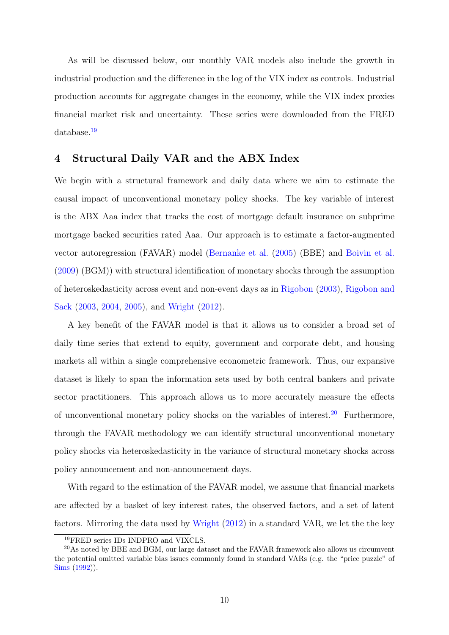As will be discussed below, our monthly VAR models also include the growth in industrial production and the difference in the log of the VIX index as controls. Industrial production accounts for aggregate changes in the economy, while the VIX index proxies financial market risk and uncertainty. These series were downloaded from the FRED database.[19](#page-10-0)

### 4 Structural Daily VAR and the ABX Index

We begin with a structural framework and daily data where we aim to estimate the causal impact of unconventional monetary policy shocks. The key variable of interest is the ABX Aaa index that tracks the cost of mortgage default insurance on subprime mortgage backed securities rated Aaa. Our approach is to estimate a factor-augmented vector autoregression (FAVAR) model [\(Bernanke et al.](#page-24-12) [\(2005\)](#page-24-12) (BBE) and [Boivin et al.](#page-24-13) [\(2009\)](#page-24-13) (BGM)) with structural identification of monetary shocks through the assumption of heteroskedasticity across event and non-event days as in [Rigobon](#page-25-6) [\(2003\)](#page-25-6), [Rigobon and](#page-25-7) [Sack](#page-25-7) [\(2003,](#page-25-7) [2004,](#page-25-8) [2005\)](#page-25-9), and [Wright](#page-26-0) [\(2012\)](#page-26-0).

A key benefit of the FAVAR model is that it allows us to consider a broad set of daily time series that extend to equity, government and corporate debt, and housing markets all within a single comprehensive econometric framework. Thus, our expansive dataset is likely to span the information sets used by both central bankers and private sector practitioners. This approach allows us to more accurately measure the effects of unconventional monetary policy shocks on the variables of interest.[20](#page-10-1) Furthermore, through the FAVAR methodology we can identify structural unconventional monetary policy shocks via heteroskedasticity in the variance of structural monetary shocks across policy announcement and non-announcement days.

With regard to the estimation of the FAVAR model, we assume that financial markets are affected by a basket of key interest rates, the observed factors, and a set of latent factors. Mirroring the data used by [Wright](#page-26-0) [\(2012\)](#page-26-0) in a standard VAR, we let the the key

<span id="page-10-1"></span><span id="page-10-0"></span><sup>19</sup>FRED series IDs INDPRO and VIXCLS.

<sup>20</sup>As noted by BBE and BGM, our large dataset and the FAVAR framework also allows us circumvent the potential omitted variable bias issues commonly found in standard VARs (e.g. the "price puzzle" of [Sims](#page-25-14) [\(1992\)](#page-25-14)).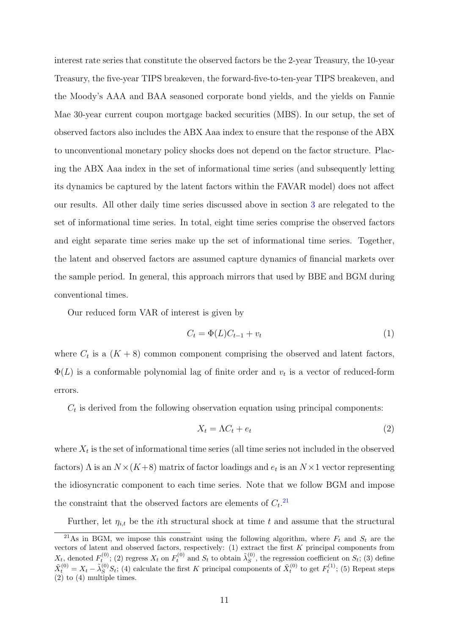interest rate series that constitute the observed factors be the 2-year Treasury, the 10-year Treasury, the five-year TIPS breakeven, the forward-five-to-ten-year TIPS breakeven, and the Moody's AAA and BAA seasoned corporate bond yields, and the yields on Fannie Mae 30-year current coupon mortgage backed securities (MBS). In our setup, the set of observed factors also includes the ABX Aaa index to ensure that the response of the ABX to unconventional monetary policy shocks does not depend on the factor structure. Placing the ABX Aaa index in the set of informational time series (and subsequently letting its dynamics be captured by the latent factors within the FAVAR model) does not affect our results. All other daily time series discussed above in section [3](#page-7-0) are relegated to the set of informational time series. In total, eight time series comprise the observed factors and eight separate time series make up the set of informational time series. Together, the latent and observed factors are assumed capture dynamics of financial markets over the sample period. In general, this approach mirrors that used by BBE and BGM during conventional times.

Our reduced form VAR of interest is given by

$$
C_t = \Phi(L)C_{t-1} + v_t \tag{1}
$$

where  $C_t$  is a  $(K+8)$  common component comprising the observed and latent factors,  $\Phi(L)$  is a conformable polynomial lag of finite order and  $v_t$  is a vector of reduced-form errors.

 $C_t$  is derived from the following observation equation using principal components:

$$
X_t = \Lambda C_t + e_t \tag{2}
$$

where  $X_t$  is the set of informational time series (all time series not included in the observed factors)  $\Lambda$  is an  $N \times (K+8)$  matrix of factor loadings and  $e_t$  is an  $N \times 1$  vector representing the idiosyncratic component to each time series. Note that we follow BGM and impose the constraint that the observed factors are elements of  $C_t$ <sup>[21](#page-11-0)</sup>

<span id="page-11-0"></span>Further, let  $\eta_{i,t}$  be the *i*th structural shock at time t and assume that the structural

<sup>&</sup>lt;sup>21</sup>As in BGM, we impose this constraint using the following algorithm, where  $F_t$  and  $S_t$  are the vectors of latent and observed factors, respectively: (1) extract the first K principal components from  $X_t$ , denoted  $F_t^{(0)}$ ; (2) regress  $X_t$  on  $F_t^{(0)}$  and  $S_t$  to obtain  $\tilde{\lambda}_S^{(0)}$  $S<sub>S</sub>$ , the regression coefficient on  $S<sub>t</sub>$ ; (3) define  $\tilde{X}_t^{(0)} = X_t - \tilde{\lambda}_S^{(0)} S_t$ ; (4) calculate the first K principal components of  $\tilde{X}_t^{(0)}$  to get  $F_t^{(1)}$ ; (5) Repeat steps (2) to (4) multiple times.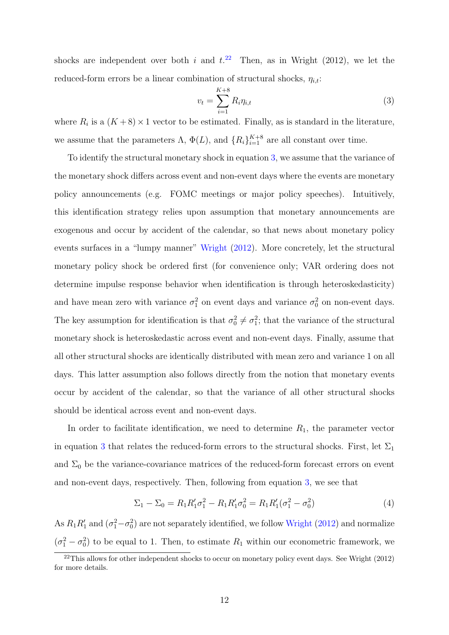shocks are independent over both i and  $t^{22}$  $t^{22}$  $t^{22}$ . Then, as in Wright (2012), we let the reduced-form errors be a linear combination of structural shocks,  $\eta_{i,t}$ :

<span id="page-12-1"></span>
$$
v_t = \sum_{i=1}^{K+8} R_i \eta_{i,t}
$$
\n(3)

where  $R_i$  is a  $(K+8) \times 1$  vector to be estimated. Finally, as is standard in the literature, we assume that the parameters  $\Lambda$ ,  $\Phi(L)$ , and  $\{R_i\}_{i=1}^{K+8}$  are all constant over time.

To identify the structural monetary shock in equation [3,](#page-12-1) we assume that the variance of the monetary shock differs across event and non-event days where the events are monetary policy announcements (e.g. FOMC meetings or major policy speeches). Intuitively, this identification strategy relies upon assumption that monetary announcements are exogenous and occur by accident of the calendar, so that news about monetary policy events surfaces in a "lumpy manner" [Wright](#page-26-0) [\(2012\)](#page-26-0). More concretely, let the structural monetary policy shock be ordered first (for convenience only; VAR ordering does not determine impulse response behavior when identification is through heteroskedasticity) and have mean zero with variance  $\sigma_1^2$  on event days and variance  $\sigma_0^2$  on non-event days. The key assumption for identification is that  $\sigma_0^2 \neq \sigma_1^2$ ; that the variance of the structural monetary shock is heteroskedastic across event and non-event days. Finally, assume that all other structural shocks are identically distributed with mean zero and variance 1 on all days. This latter assumption also follows directly from the notion that monetary events occur by accident of the calendar, so that the variance of all other structural shocks should be identical across event and non-event days.

In order to facilitate identification, we need to determine  $R_1$ , the parameter vector in equation [3](#page-12-1) that relates the reduced-form errors to the structural shocks. First, let  $\Sigma_1$ and  $\Sigma_0$  be the variance-covariance matrices of the reduced-form forecast errors on event and non-event days, respectively. Then, following from equation [3,](#page-12-1) we see that

$$
\Sigma_1 - \Sigma_0 = R_1 R_1' \sigma_1^2 - R_1 R_1' \sigma_0^2 = R_1 R_1' (\sigma_1^2 - \sigma_0^2)
$$
\n(4)

As  $R_1R'_1$  and  $(\sigma_1^2-\sigma_0^2)$  are not separately identified, we follow [Wright](#page-26-0) [\(2012\)](#page-26-0) and normalize  $(\sigma_1^2 - \sigma_0^2)$  to be equal to 1. Then, to estimate  $R_1$  within our econometric framework, we

<span id="page-12-0"></span> $^{22}$ This allows for other independent shocks to occur on monetary policy event days. See Wright (2012) for more details.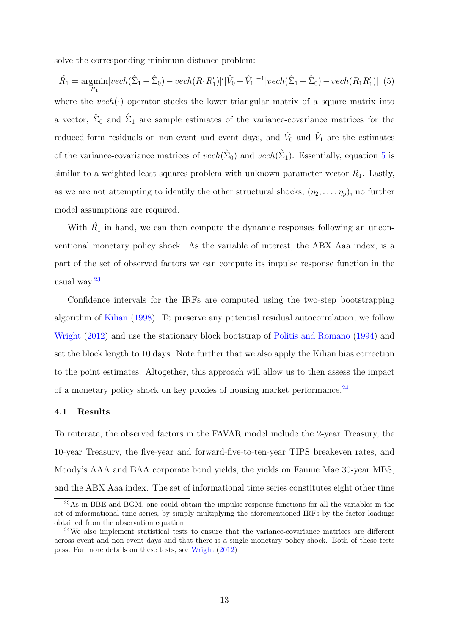solve the corresponding minimum distance problem:

<span id="page-13-0"></span>
$$
\hat{R_1} = \underset{R_1}{\text{argmin}}[vech(\hat{\Sigma}_1 - \hat{\Sigma}_0) - vech(R_1R_1')]'[\hat{V}_0 + \hat{V}_1]^{-1}[vech(\hat{\Sigma}_1 - \hat{\Sigma}_0) - vech(R_1R_1')] \tag{5}
$$

where the  $vech(\cdot)$  operator stacks the lower triangular matrix of a square matrix into a vector,  $\hat{\Sigma}_0$  and  $\hat{\Sigma}_1$  are sample estimates of the variance-covariance matrices for the reduced-form residuals on non-event and event days, and  $\hat{V}_0$  and  $\hat{V}_1$  are the estimates of the variance-covariance matrices of  $vech(\hat{\Sigma}_0)$  and  $vech(\hat{\Sigma}_1)$ . Essentially, equation [5](#page-13-0) is similar to a weighted least-squares problem with unknown parameter vector  $R_1$ . Lastly, as we are not attempting to identify the other structural shocks,  $(\eta_2, \ldots, \eta_p)$ , no further model assumptions are required.

With  $\hat{R_1}$  in hand, we can then compute the dynamic responses following an unconventional monetary policy shock. As the variable of interest, the ABX Aaa index, is a part of the set of observed factors we can compute its impulse response function in the usual way.[23](#page-13-1)

Confidence intervals for the IRFs are computed using the two-step bootstrapping algorithm of [Kilian](#page-25-15) [\(1998\)](#page-25-15). To preserve any potential residual autocorrelation, we follow [Wright](#page-26-0) [\(2012\)](#page-26-0) and use the stationary block bootstrap of [Politis and Romano](#page-25-16) [\(1994\)](#page-25-16) and set the block length to 10 days. Note further that we also apply the Kilian bias correction to the point estimates. Altogether, this approach will allow us to then assess the impact of a monetary policy shock on key proxies of housing market performance.<sup>[24](#page-13-2)</sup>

### 4.1 Results

To reiterate, the observed factors in the FAVAR model include the 2-year Treasury, the 10-year Treasury, the five-year and forward-five-to-ten-year TIPS breakeven rates, and Moody's AAA and BAA corporate bond yields, the yields on Fannie Mae 30-year MBS, and the ABX Aaa index. The set of informational time series constitutes eight other time

<span id="page-13-1"></span><sup>23</sup>As in BBE and BGM, one could obtain the impulse response functions for all the variables in the set of informational time series, by simply multiplying the aforementioned IRFs by the factor loadings obtained from the observation equation.

<span id="page-13-2"></span> $24$ We also implement statistical tests to ensure that the variance-covariance matrices are different across event and non-event days and that there is a single monetary policy shock. Both of these tests pass. For more details on these tests, see [Wright](#page-26-0) [\(2012\)](#page-26-0)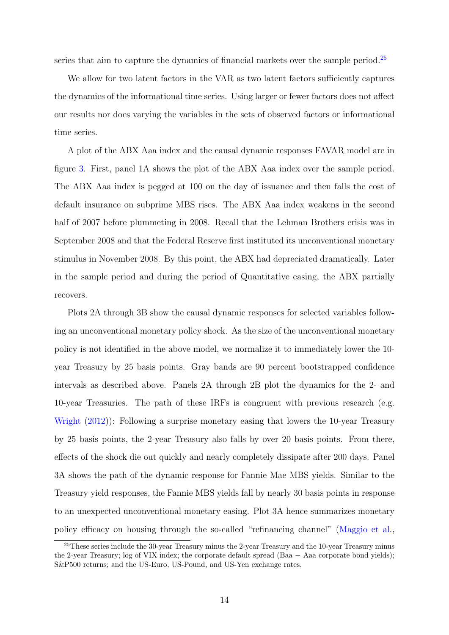series that aim to capture the dynamics of financial markets over the sample period.<sup>[25](#page-14-0)</sup>

We allow for two latent factors in the VAR as two latent factors sufficiently captures the dynamics of the informational time series. Using larger or fewer factors does not affect our results nor does varying the variables in the sets of observed factors or informational time series.

A plot of the ABX Aaa index and the causal dynamic responses FAVAR model are in figure [3.](#page-30-0) First, panel 1A shows the plot of the ABX Aaa index over the sample period. The ABX Aaa index is pegged at 100 on the day of issuance and then falls the cost of default insurance on subprime MBS rises. The ABX Aaa index weakens in the second half of 2007 before plummeting in 2008. Recall that the Lehman Brothers crisis was in September 2008 and that the Federal Reserve first instituted its unconventional monetary stimulus in November 2008. By this point, the ABX had depreciated dramatically. Later in the sample period and during the period of Quantitative easing, the ABX partially recovers.

Plots 2A through 3B show the causal dynamic responses for selected variables following an unconventional monetary policy shock. As the size of the unconventional monetary policy is not identified in the above model, we normalize it to immediately lower the 10 year Treasury by 25 basis points. Gray bands are 90 percent bootstrapped confidence intervals as described above. Panels 2A through 2B plot the dynamics for the 2- and 10-year Treasuries. The path of these IRFs is congruent with previous research (e.g. [Wright](#page-26-0) [\(2012\)](#page-26-0)): Following a surprise monetary easing that lowers the 10-year Treasury by 25 basis points, the 2-year Treasury also falls by over 20 basis points. From there, effects of the shock die out quickly and nearly completely dissipate after 200 days. Panel 3A shows the path of the dynamic response for Fannie Mae MBS yields. Similar to the Treasury yield responses, the Fannie MBS yields fall by nearly 30 basis points in response to an unexpected unconventional monetary easing. Plot 3A hence summarizes monetary policy efficacy on housing through the so-called "refinancing channel" [\(Maggio et al.,](#page-25-5)

<span id="page-14-0"></span><sup>25</sup>These series include the 30-year Treasury minus the 2-year Treasury and the 10-year Treasury minus the 2-year Treasury; log of VIX index; the corporate default spread (Baa − Aaa corporate bond yields); S&P500 returns; and the US-Euro, US-Pound, and US-Yen exchange rates.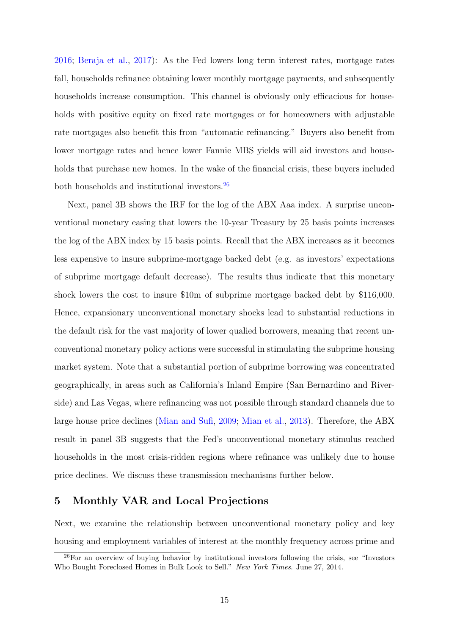[2016;](#page-25-5) [Beraja et al.,](#page-24-3) [2017\)](#page-24-3): As the Fed lowers long term interest rates, mortgage rates fall, households refinance obtaining lower monthly mortgage payments, and subsequently households increase consumption. This channel is obviously only efficacious for households with positive equity on fixed rate mortgages or for homeowners with adjustable rate mortgages also benefit this from "automatic refinancing." Buyers also benefit from lower mortgage rates and hence lower Fannie MBS yields will aid investors and households that purchase new homes. In the wake of the financial crisis, these buyers included both households and institutional investors.[26](#page-15-0)

Next, panel 3B shows the IRF for the log of the ABX Aaa index. A surprise unconventional monetary easing that lowers the 10-year Treasury by 25 basis points increases the log of the ABX index by 15 basis points. Recall that the ABX increases as it becomes less expensive to insure subprime-mortgage backed debt (e.g. as investors' expectations of subprime mortgage default decrease). The results thus indicate that this monetary shock lowers the cost to insure \$10m of subprime mortgage backed debt by \$116,000. Hence, expansionary unconventional monetary shocks lead to substantial reductions in the default risk for the vast majority of lower qualied borrowers, meaning that recent unconventional monetary policy actions were successful in stimulating the subprime housing market system. Note that a substantial portion of subprime borrowing was concentrated geographically, in areas such as California's Inland Empire (San Bernardino and Riverside) and Las Vegas, where refinancing was not possible through standard channels due to large house price declines [\(Mian and Sufi,](#page-25-2) [2009;](#page-25-2) [Mian et al.,](#page-25-4) [2013\)](#page-25-4). Therefore, the ABX result in panel 3B suggests that the Fed's unconventional monetary stimulus reached households in the most crisis-ridden regions where refinance was unlikely due to house price declines. We discuss these transmission mechanisms further below.

### 5 Monthly VAR and Local Projections

Next, we examine the relationship between unconventional monetary policy and key housing and employment variables of interest at the monthly frequency across prime and

<span id="page-15-0"></span><sup>26</sup>For an overview of buying behavior by institutional investors following the crisis, see "Investors Who Bought Foreclosed Homes in Bulk Look to Sell." New York Times. June 27, 2014.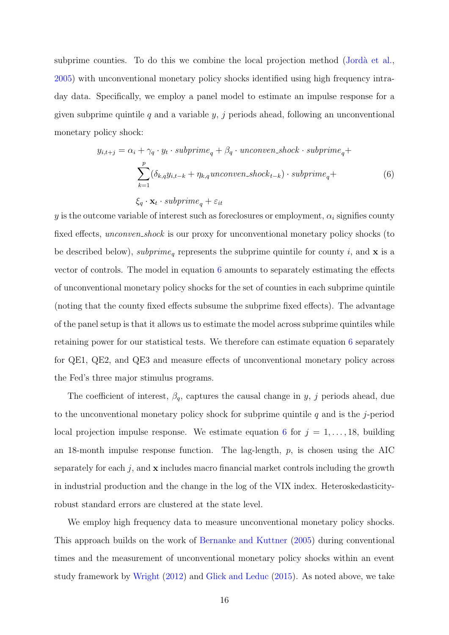subprime counties. To do this we combine the local projection method (Jordà et al., [2005\)](#page-24-8) with unconventional monetary policy shocks identified using high frequency intraday data. Specifically, we employ a panel model to estimate an impulse response for a given subprime quintile q and a variable  $y, j$  periods ahead, following an unconventional monetary policy shock:

<span id="page-16-0"></span>
$$
y_{i,t+j} = \alpha_i + \gamma_q \cdot y_t \cdot subprime_q + \beta_q \cdot unconven\_shock \cdot subprime_q + \sum_{k=1}^p (\delta_{k,q} y_{i,t-k} + \eta_{k,q} unconven\_shock_{t-k}) \cdot subprime_q + \xi_q \cdot \mathbf{x}_t \cdot subprime_q + \varepsilon_{it}
$$
\n
$$
(6)
$$

y is the outcome variable of interest such as foreclosures or employment,  $\alpha_i$  signifies county fixed effects, *unconven\_shock* is our proxy for unconventional monetary policy shocks (to be described below), subprime<sub>q</sub> represents the subprime quintile for county i, and **x** is a vector of controls. The model in equation [6](#page-16-0) amounts to separately estimating the effects of unconventional monetary policy shocks for the set of counties in each subprime quintile (noting that the county fixed effects subsume the subprime fixed effects). The advantage of the panel setup is that it allows us to estimate the model across subprime quintiles while retaining power for our statistical tests. We therefore can estimate equation [6](#page-16-0) separately for QE1, QE2, and QE3 and measure effects of unconventional monetary policy across the Fed's three major stimulus programs.

The coefficient of interest,  $\beta_q$ , captures the causal change in y, j periods ahead, due to the unconventional monetary policy shock for subprime quintile  $q$  and is the j-period local projection impulse response. We estimate equation [6](#page-16-0) for  $j = 1, \ldots, 18$ , building an 18-month impulse response function. The lag-length,  $p$ , is chosen using the AIC separately for each  $j$ , and  $x$  includes macro financial market controls including the growth in industrial production and the change in the log of the VIX index. Heteroskedasticityrobust standard errors are clustered at the state level.

We employ high frequency data to measure unconventional monetary policy shocks. This approach builds on the work of [Bernanke and Kuttner](#page-24-7) [\(2005\)](#page-24-7) during conventional times and the measurement of unconventional monetary policy shocks within an event study framework by [Wright](#page-26-0) [\(2012\)](#page-26-0) and [Glick and Leduc](#page-24-9) [\(2015\)](#page-24-9). As noted above, we take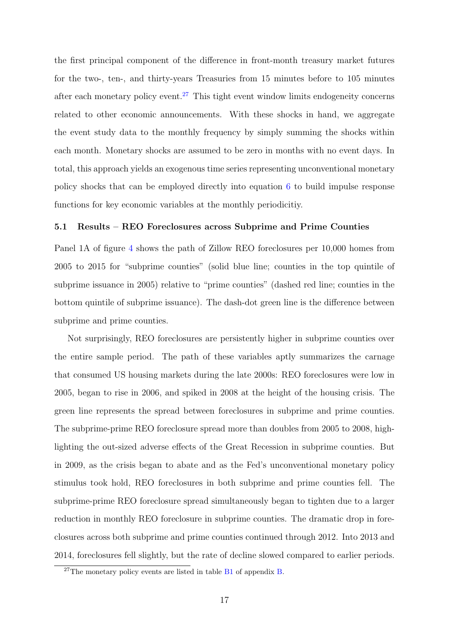the first principal component of the difference in front-month treasury market futures for the two-, ten-, and thirty-years Treasuries from 15 minutes before to 105 minutes after each monetary policy event.<sup>[27](#page-17-0)</sup> This tight event window limits endogeneity concerns related to other economic announcements. With these shocks in hand, we aggregate the event study data to the monthly frequency by simply summing the shocks within each month. Monetary shocks are assumed to be zero in months with no event days. In total, this approach yields an exogenous time series representing unconventional monetary policy shocks that can be employed directly into equation [6](#page-16-0) to build impulse response functions for key economic variables at the monthly periodicitiy.

### 5.1 Results – REO Foreclosures across Subprime and Prime Counties

Panel 1A of figure [4](#page-31-0) shows the path of Zillow REO foreclosures per 10,000 homes from 2005 to 2015 for "subprime counties" (solid blue line; counties in the top quintile of subprime issuance in 2005) relative to "prime counties" (dashed red line; counties in the bottom quintile of subprime issuance). The dash-dot green line is the difference between subprime and prime counties.

Not surprisingly, REO foreclosures are persistently higher in subprime counties over the entire sample period. The path of these variables aptly summarizes the carnage that consumed US housing markets during the late 2000s: REO foreclosures were low in 2005, began to rise in 2006, and spiked in 2008 at the height of the housing crisis. The green line represents the spread between foreclosures in subprime and prime counties. The subprime-prime REO foreclosure spread more than doubles from 2005 to 2008, highlighting the out-sized adverse effects of the Great Recession in subprime counties. But in 2009, as the crisis began to abate and as the Fed's unconventional monetary policy stimulus took hold, REO foreclosures in both subprime and prime counties fell. The subprime-prime REO foreclosure spread simultaneously began to tighten due to a larger reduction in monthly REO foreclosure in subprime counties. The dramatic drop in foreclosures across both subprime and prime counties continued through 2012. Into 2013 and 2014, foreclosures fell slightly, but the rate of decline slowed compared to earlier periods.

<span id="page-17-0"></span><sup>&</sup>lt;sup>27</sup>The monetary policy events are listed in table  $B1$  of appendix  $B$ .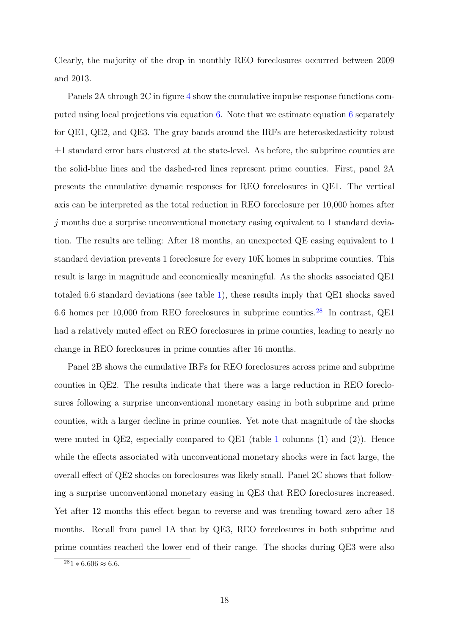Clearly, the majority of the drop in monthly REO foreclosures occurred between 2009 and 2013.

Panels 2A through 2C in figure [4](#page-31-0) show the cumulative impulse response functions computed using local projections via equation [6.](#page-16-0) Note that we estimate equation [6](#page-16-0) separately for QE1, QE2, and QE3. The gray bands around the IRFs are heteroskedasticity robust  $\pm 1$  standard error bars clustered at the state-level. As before, the subprime counties are the solid-blue lines and the dashed-red lines represent prime counties. First, panel 2A presents the cumulative dynamic responses for REO foreclosures in QE1. The vertical axis can be interpreted as the total reduction in REO foreclosure per 10,000 homes after j months due a surprise unconventional monetary easing equivalent to 1 standard deviation. The results are telling: After 18 months, an unexpected QE easing equivalent to 1 standard deviation prevents 1 foreclosure for every 10K homes in subprime counties. This result is large in magnitude and economically meaningful. As the shocks associated QE1 totaled 6.6 standard deviations (see table [1\)](#page-27-0), these results imply that QE1 shocks saved 6.6 homes per 10,000 from REO foreclosures in subprime counties.[28](#page-18-0) In contrast, QE1 had a relatively muted effect on REO foreclosures in prime counties, leading to nearly no change in REO foreclosures in prime counties after 16 months.

Panel 2B shows the cumulative IRFs for REO foreclosures across prime and subprime counties in QE2. The results indicate that there was a large reduction in REO foreclosures following a surprise unconventional monetary easing in both subprime and prime counties, with a larger decline in prime counties. Yet note that magnitude of the shocks were muted in QE2, especially compared to QE[1](#page-27-0) (table 1 columns (1) and (2)). Hence while the effects associated with unconventional monetary shocks were in fact large, the overall effect of QE2 shocks on foreclosures was likely small. Panel 2C shows that following a surprise unconventional monetary easing in QE3 that REO foreclosures increased. Yet after 12 months this effect began to reverse and was trending toward zero after 18 months. Recall from panel 1A that by QE3, REO foreclosures in both subprime and prime counties reached the lower end of their range. The shocks during QE3 were also

<span id="page-18-0"></span> $281 * 6.606 \approx 6.6$ .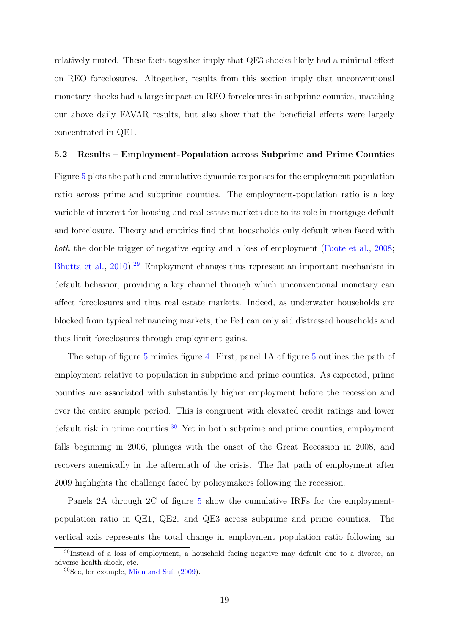relatively muted. These facts together imply that QE3 shocks likely had a minimal effect on REO foreclosures. Altogether, results from this section imply that unconventional monetary shocks had a large impact on REO foreclosures in subprime counties, matching our above daily FAVAR results, but also show that the beneficial effects were largely concentrated in QE1.

### 5.2 Results – Employment-Population across Subprime and Prime Counties

Figure [5](#page-32-0) plots the path and cumulative dynamic responses for the employment-population ratio across prime and subprime counties. The employment-population ratio is a key variable of interest for housing and real estate markets due to its role in mortgage default and foreclosure. Theory and empirics find that households only default when faced with both the double trigger of negative equity and a loss of employment [\(Foote et al.,](#page-24-4) [2008;](#page-24-4) [Bhutta et al.,](#page-24-14) [2010\)](#page-24-14).[29](#page-19-0) Employment changes thus represent an important mechanism in default behavior, providing a key channel through which unconventional monetary can affect foreclosures and thus real estate markets. Indeed, as underwater households are blocked from typical refinancing markets, the Fed can only aid distressed households and thus limit foreclosures through employment gains.

The setup of figure [5](#page-32-0) mimics figure [4.](#page-31-0) First, panel 1A of figure [5](#page-32-0) outlines the path of employment relative to population in subprime and prime counties. As expected, prime counties are associated with substantially higher employment before the recession and over the entire sample period. This is congruent with elevated credit ratings and lower default risk in prime counties.<sup>[30](#page-19-1)</sup> Yet in both subprime and prime counties, employment falls beginning in 2006, plunges with the onset of the Great Recession in 2008, and recovers anemically in the aftermath of the crisis. The flat path of employment after 2009 highlights the challenge faced by policymakers following the recession.

Panels 2A through 2C of figure [5](#page-32-0) show the cumulative IRFs for the employmentpopulation ratio in QE1, QE2, and QE3 across subprime and prime counties. The vertical axis represents the total change in employment population ratio following an

<span id="page-19-0"></span><sup>29</sup>Instead of a loss of employment, a household facing negative may default due to a divorce, an adverse health shock, etc.

<span id="page-19-1"></span><sup>30</sup>See, for example, [Mian and Sufi](#page-25-2) [\(2009\)](#page-25-2).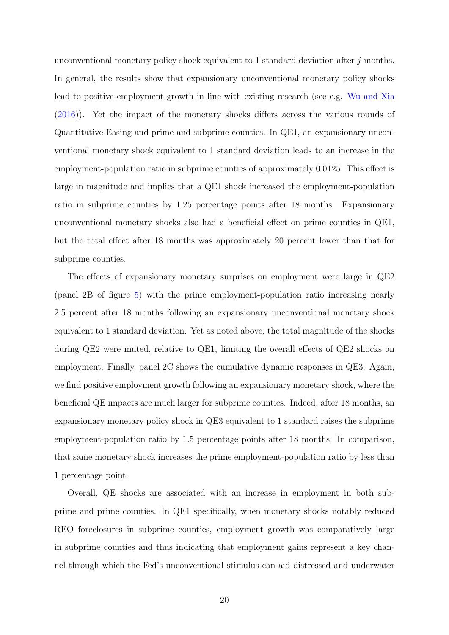unconventional monetary policy shock equivalent to 1 standard deviation after  $j$  months. In general, the results show that expansionary unconventional monetary policy shocks lead to positive employment growth in line with existing research (see e.g. [Wu and Xia](#page-26-1) [\(2016\)](#page-26-1)). Yet the impact of the monetary shocks differs across the various rounds of Quantitative Easing and prime and subprime counties. In QE1, an expansionary unconventional monetary shock equivalent to 1 standard deviation leads to an increase in the employment-population ratio in subprime counties of approximately 0.0125. This effect is large in magnitude and implies that a QE1 shock increased the employment-population ratio in subprime counties by 1.25 percentage points after 18 months. Expansionary unconventional monetary shocks also had a beneficial effect on prime counties in QE1, but the total effect after 18 months was approximately 20 percent lower than that for subprime counties.

The effects of expansionary monetary surprises on employment were large in QE2 (panel 2B of figure [5\)](#page-32-0) with the prime employment-population ratio increasing nearly 2.5 percent after 18 months following an expansionary unconventional monetary shock equivalent to 1 standard deviation. Yet as noted above, the total magnitude of the shocks during QE2 were muted, relative to QE1, limiting the overall effects of QE2 shocks on employment. Finally, panel 2C shows the cumulative dynamic responses in QE3. Again, we find positive employment growth following an expansionary monetary shock, where the beneficial QE impacts are much larger for subprime counties. Indeed, after 18 months, an expansionary monetary policy shock in QE3 equivalent to 1 standard raises the subprime employment-population ratio by 1.5 percentage points after 18 months. In comparison, that same monetary shock increases the prime employment-population ratio by less than 1 percentage point.

Overall, QE shocks are associated with an increase in employment in both subprime and prime counties. In QE1 specifically, when monetary shocks notably reduced REO foreclosures in subprime counties, employment growth was comparatively large in subprime counties and thus indicating that employment gains represent a key channel through which the Fed's unconventional stimulus can aid distressed and underwater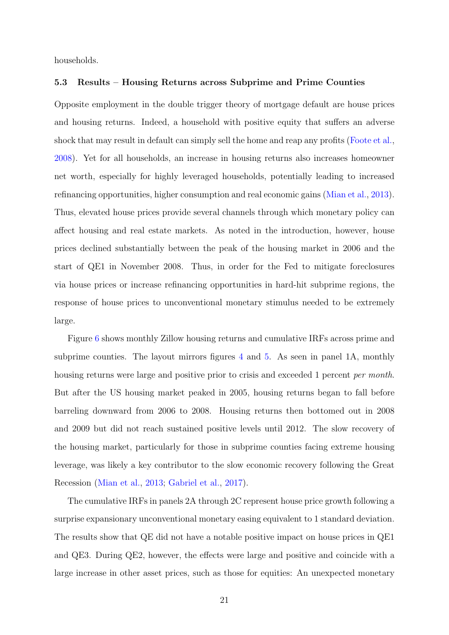households.

### 5.3 Results – Housing Returns across Subprime and Prime Counties

Opposite employment in the double trigger theory of mortgage default are house prices and housing returns. Indeed, a household with positive equity that suffers an adverse shock that may result in default can simply sell the home and reap any profits [\(Foote et al.,](#page-24-4) [2008\)](#page-24-4). Yet for all households, an increase in housing returns also increases homeowner net worth, especially for highly leveraged households, potentially leading to increased refinancing opportunities, higher consumption and real economic gains [\(Mian et al.,](#page-25-4) [2013\)](#page-25-4). Thus, elevated house prices provide several channels through which monetary policy can affect housing and real estate markets. As noted in the introduction, however, house prices declined substantially between the peak of the housing market in 2006 and the start of QE1 in November 2008. Thus, in order for the Fed to mitigate foreclosures via house prices or increase refinancing opportunities in hard-hit subprime regions, the response of house prices to unconventional monetary stimulus needed to be extremely large.

Figure [6](#page-33-0) shows monthly Zillow housing returns and cumulative IRFs across prime and subprime counties. The layout mirrors figures [4](#page-31-0) and [5.](#page-32-0) As seen in panel 1A, monthly housing returns were large and positive prior to crisis and exceeded 1 percent *per month*. But after the US housing market peaked in 2005, housing returns began to fall before barreling downward from 2006 to 2008. Housing returns then bottomed out in 2008 and 2009 but did not reach sustained positive levels until 2012. The slow recovery of the housing market, particularly for those in subprime counties facing extreme housing leverage, was likely a key contributor to the slow economic recovery following the Great Recession [\(Mian et al.,](#page-25-4) [2013;](#page-25-4) [Gabriel et al.,](#page-24-15) [2017\)](#page-24-15).

The cumulative IRFs in panels 2A through 2C represent house price growth following a surprise expansionary unconventional monetary easing equivalent to 1 standard deviation. The results show that QE did not have a notable positive impact on house prices in QE1 and QE3. During QE2, however, the effects were large and positive and coincide with a large increase in other asset prices, such as those for equities: An unexpected monetary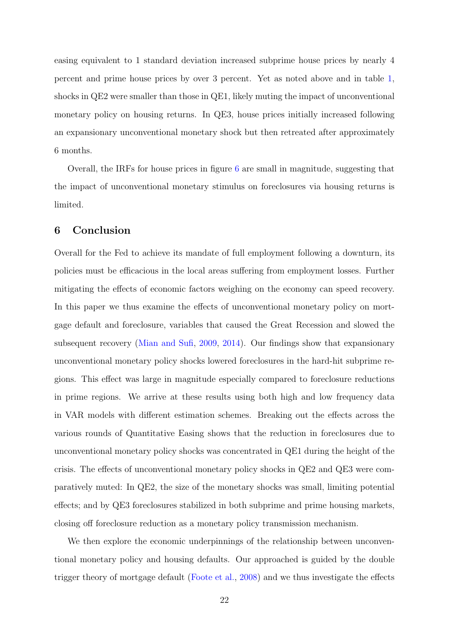easing equivalent to 1 standard deviation increased subprime house prices by nearly 4 percent and prime house prices by over 3 percent. Yet as noted above and in table [1,](#page-27-0) shocks in QE2 were smaller than those in QE1, likely muting the impact of unconventional monetary policy on housing returns. In QE3, house prices initially increased following an expansionary unconventional monetary shock but then retreated after approximately 6 months.

Overall, the IRFs for house prices in figure [6](#page-33-0) are small in magnitude, suggesting that the impact of unconventional monetary stimulus on foreclosures via housing returns is limited.

### 6 Conclusion

Overall for the Fed to achieve its mandate of full employment following a downturn, its policies must be efficacious in the local areas suffering from employment losses. Further mitigating the effects of economic factors weighing on the economy can speed recovery. In this paper we thus examine the effects of unconventional monetary policy on mortgage default and foreclosure, variables that caused the Great Recession and slowed the subsequent recovery [\(Mian and Sufi,](#page-25-2) [2009,](#page-25-2) [2014\)](#page-25-3). Our findings show that expansionary unconventional monetary policy shocks lowered foreclosures in the hard-hit subprime regions. This effect was large in magnitude especially compared to foreclosure reductions in prime regions. We arrive at these results using both high and low frequency data in VAR models with different estimation schemes. Breaking out the effects across the various rounds of Quantitative Easing shows that the reduction in foreclosures due to unconventional monetary policy shocks was concentrated in QE1 during the height of the crisis. The effects of unconventional monetary policy shocks in QE2 and QE3 were comparatively muted: In QE2, the size of the monetary shocks was small, limiting potential effects; and by QE3 foreclosures stabilized in both subprime and prime housing markets, closing off foreclosure reduction as a monetary policy transmission mechanism.

We then explore the economic underpinnings of the relationship between unconventional monetary policy and housing defaults. Our approached is guided by the double trigger theory of mortgage default [\(Foote et al.,](#page-24-4) [2008\)](#page-24-4) and we thus investigate the effects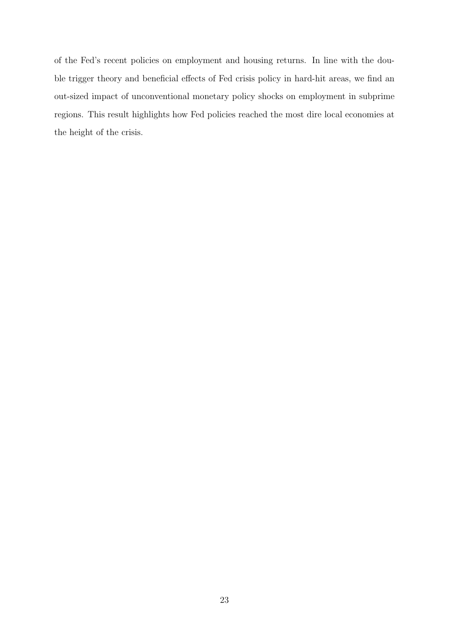of the Fed's recent policies on employment and housing returns. In line with the double trigger theory and beneficial effects of Fed crisis policy in hard-hit areas, we find an out-sized impact of unconventional monetary policy shocks on employment in subprime regions. This result highlights how Fed policies reached the most dire local economies at the height of the crisis.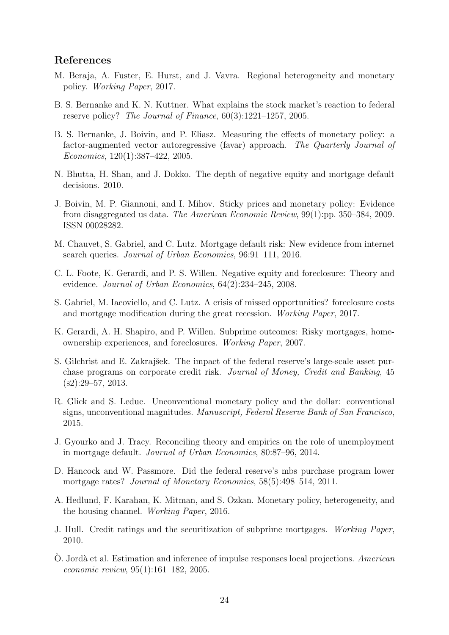### References

- <span id="page-24-3"></span>M. Beraja, A. Fuster, E. Hurst, and J. Vavra. Regional heterogeneity and monetary policy. Working Paper, 2017.
- <span id="page-24-7"></span>B. S. Bernanke and K. N. Kuttner. What explains the stock market's reaction to federal reserve policy? The Journal of Finance, 60(3):1221–1257, 2005.
- <span id="page-24-12"></span>B. S. Bernanke, J. Boivin, and P. Eliasz. Measuring the effects of monetary policy: a factor-augmented vector autoregressive (favar) approach. The Quarterly Journal of Economics, 120(1):387–422, 2005.
- <span id="page-24-14"></span>N. Bhutta, H. Shan, and J. Dokko. The depth of negative equity and mortgage default decisions. 2010.
- <span id="page-24-13"></span>J. Boivin, M. P. Giannoni, and I. Mihov. Sticky prices and monetary policy: Evidence from disaggregated us data. The American Economic Review, 99(1):pp. 350–384, 2009. ISSN 00028282.
- <span id="page-24-6"></span>M. Chauvet, S. Gabriel, and C. Lutz. Mortgage default risk: New evidence from internet search queries. Journal of Urban Economics, 96:91–111, 2016.
- <span id="page-24-4"></span>C. L. Foote, K. Gerardi, and P. S. Willen. Negative equity and foreclosure: Theory and evidence. Journal of Urban Economics, 64(2):234–245, 2008.
- <span id="page-24-15"></span>S. Gabriel, M. Iacoviello, and C. Lutz. A crisis of missed opportunities? foreclosure costs and mortgage modification during the great recession. Working Paper, 2017.
- <span id="page-24-11"></span>K. Gerardi, A. H. Shapiro, and P. Willen. Subprime outcomes: Risky mortgages, homeownership experiences, and foreclosures. Working Paper, 2007.
- <span id="page-24-0"></span>S. Gilchrist and E. Zakrajšek. The impact of the federal reserve's large-scale asset purchase programs on corporate credit risk. Journal of Money, Credit and Banking, 45  $(s2):29-57, 2013.$
- <span id="page-24-9"></span>R. Glick and S. Leduc. Unconventional monetary policy and the dollar: conventional signs, unconventional magnitudes. Manuscript, Federal Reserve Bank of San Francisco, 2015.
- <span id="page-24-5"></span>J. Gyourko and J. Tracy. Reconciling theory and empirics on the role of unemployment in mortgage default. Journal of Urban Economics, 80:87–96, 2014.
- <span id="page-24-1"></span>D. Hancock and W. Passmore. Did the federal reserve's mbs purchase program lower mortgage rates? Journal of Monetary Economics, 58(5):498–514, 2011.
- <span id="page-24-2"></span>A. Hedlund, F. Karahan, K. Mitman, and S. Ozkan. Monetary policy, heterogeneity, and the housing channel. Working Paper, 2016.
- <span id="page-24-10"></span>J. Hull. Credit ratings and the securitization of subprime mortgages. Working Paper, 2010.
- <span id="page-24-8"></span> $\dot{O}$ . Jordà et al. Estimation and inference of impulse responses local projections. American economic review, 95(1):161–182, 2005.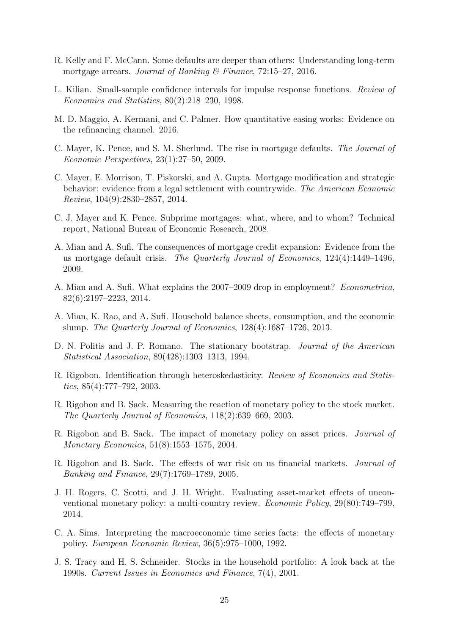- <span id="page-25-12"></span>R. Kelly and F. McCann. Some defaults are deeper than others: Understanding long-term mortgage arrears. Journal of Banking & Finance,  $72:15-27$ ,  $2016$ .
- <span id="page-25-15"></span>L. Kilian. Small-sample confidence intervals for impulse response functions. Review of Economics and Statistics, 80(2):218–230, 1998.
- <span id="page-25-5"></span>M. D. Maggio, A. Kermani, and C. Palmer. How quantitative easing works: Evidence on the refinancing channel. 2016.
- <span id="page-25-11"></span>C. Mayer, K. Pence, and S. M. Sherlund. The rise in mortgage defaults. The Journal of Economic Perspectives, 23(1):27–50, 2009.
- <span id="page-25-10"></span>C. Mayer, E. Morrison, T. Piskorski, and A. Gupta. Mortgage modification and strategic behavior: evidence from a legal settlement with countrywide. The American Economic Review, 104(9):2830–2857, 2014.
- <span id="page-25-13"></span>C. J. Mayer and K. Pence. Subprime mortgages: what, where, and to whom? Technical report, National Bureau of Economic Research, 2008.
- <span id="page-25-2"></span>A. Mian and A. Sufi. The consequences of mortgage credit expansion: Evidence from the us mortgage default crisis. The Quarterly Journal of Economics, 124(4):1449–1496, 2009.
- <span id="page-25-3"></span>A. Mian and A. Sufi. What explains the 2007–2009 drop in employment? Econometrica, 82(6):2197–2223, 2014.
- <span id="page-25-4"></span>A. Mian, K. Rao, and A. Sufi. Household balance sheets, consumption, and the economic slump. The Quarterly Journal of Economics, 128(4):1687–1726, 2013.
- <span id="page-25-16"></span>D. N. Politis and J. P. Romano. The stationary bootstrap. Journal of the American Statistical Association, 89(428):1303–1313, 1994.
- <span id="page-25-6"></span>R. Rigobon. Identification through heteroskedasticity. Review of Economics and Statistics, 85(4):777–792, 2003.
- <span id="page-25-7"></span>R. Rigobon and B. Sack. Measuring the reaction of monetary policy to the stock market. The Quarterly Journal of Economics, 118(2):639–669, 2003.
- <span id="page-25-8"></span>R. Rigobon and B. Sack. The impact of monetary policy on asset prices. Journal of Monetary Economics, 51(8):1553–1575, 2004.
- <span id="page-25-9"></span>R. Rigobon and B. Sack. The effects of war risk on us financial markets. Journal of Banking and Finance, 29(7):1769–1789, 2005.
- <span id="page-25-1"></span>J. H. Rogers, C. Scotti, and J. H. Wright. Evaluating asset-market effects of unconventional monetary policy: a multi-country review. Economic Policy, 29(80):749–799, 2014.
- <span id="page-25-14"></span>C. A. Sims. Interpreting the macroeconomic time series facts: the effects of monetary policy. European Economic Review, 36(5):975–1000, 1992.
- <span id="page-25-0"></span>J. S. Tracy and H. S. Schneider. Stocks in the household portfolio: A look back at the 1990s. Current Issues in Economics and Finance, 7(4), 2001.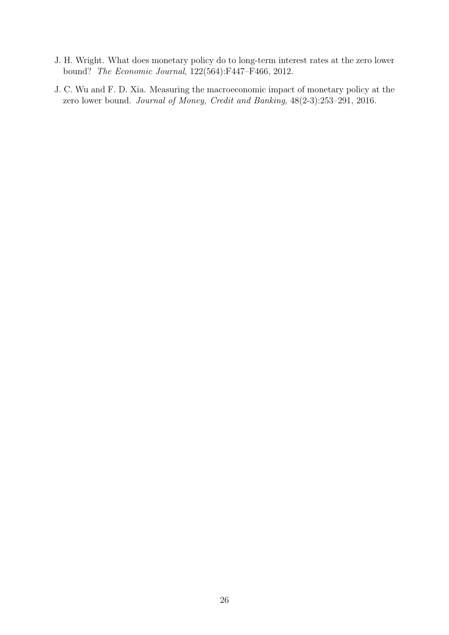- <span id="page-26-0"></span>J. H. Wright. What does monetary policy do to long-term interest rates at the zero lower bound? The Economic Journal, 122(564):F447–F466, 2012.
- <span id="page-26-1"></span>J. C. Wu and F. D. Xia. Measuring the macroeconomic impact of monetary policy at the zero lower bound. Journal of Money, Credit and Banking, 48(2-3):253–291, 2016.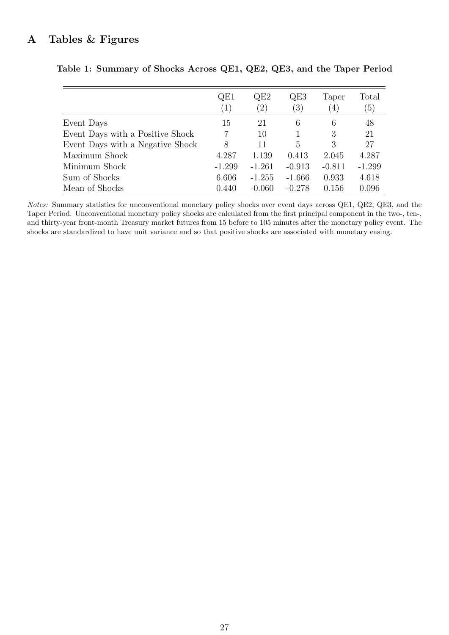### <span id="page-27-0"></span>A Tables & Figures

|                                  | QE1<br>(1)     | QE2<br>(2) | QE3<br>$\left(3\right)$ | Taper<br>$\left( 4\right)$ | Total<br>(5) |
|----------------------------------|----------------|------------|-------------------------|----------------------------|--------------|
| Event Days                       | 15             | 21         | 6                       | 6                          | 48           |
| Event Days with a Positive Shock | $\overline{7}$ | 10         |                         | 3                          | 21           |
| Event Days with a Negative Shock | 8              | 11         | 5                       | 3                          | 27           |
| Maximum Shock                    | 4.287          | 1.139      | 0.413                   | 2.045                      | 4.287        |
| Minimum Shock                    | $-1.299$       | $-1.261$   | $-0.913$                | $-0.811$                   | $-1.299$     |
| Sum of Shocks                    | 6.606          | $-1.255$   | $-1.666$                | 0.933                      | 4.618        |
| Mean of Shocks                   | 0.440          | $-0.060$   | $-0.278$                | 0.156                      | 0.096        |

Table 1: Summary of Shocks Across QE1, QE2, QE3, and the Taper Period

Notes: Summary statistics for unconventional monetary policy shocks over event days across QE1, QE2, QE3, and the Taper Period. Unconventional monetary policy shocks are calculated from the first principal component in the two-, ten-, and thirty-year front-month Treasury market futures from 15 before to 105 minutes after the monetary policy event. The shocks are standardized to have unit variance and so that positive shocks are associated with monetary easing.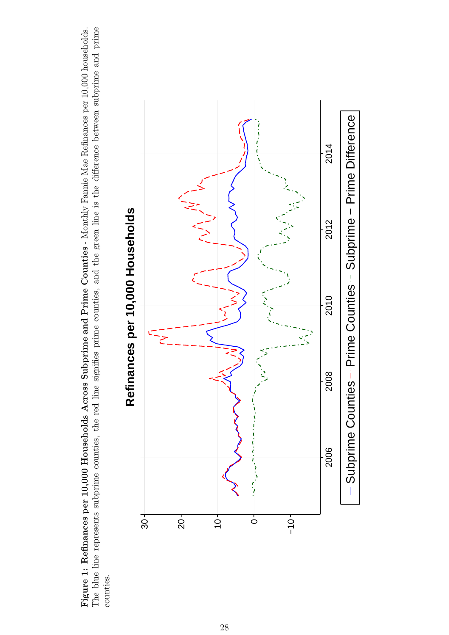<span id="page-28-0"></span>The blue line represents subprime counties, the red line signifies prime counties, and the green line is the difference between subprime and prime Figure 1: Refinances per 10,000 Households Across Subprime and Prime Counties - Monthly Fannie Mae Refinances per 10,000 households. The blue line represents subprime counties, the red line signifies prime counties, and the green line is the difference between subprime and prime Figure 1: Refinances per 10,000 Households Across Subprime and Prime Counties - Monthly Fannie Mae Refinances per 10,000 households. counties.



## Refinances per 10,000 Households **Refinances per 10,000 Households**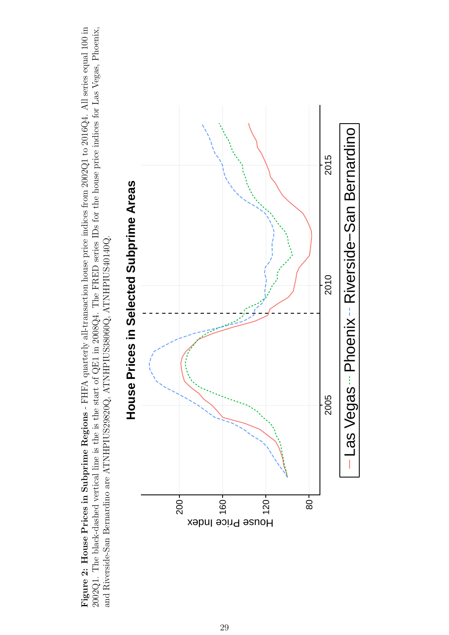<span id="page-29-0"></span>Figure 2: House Prices in Subprime Regions - FHFA quarterly all-transaction house price indices from 2002Q1 to 2016Q4. All series equal 100 in  $2002Q1$ . The black-dashed vertical line is the is the start of QE1 in  $2008Q4$ . The FRED series IDs for the house price indices for Las Vegas, Phoenix, Figure 2: House Prices in Subprime Regions - FHFA quarterly all-transaction house price indices from 2002Q1 to 2016Q4. All series equal 100 in 2002Q1. The black-dashed vertical line is the is the start of QE1 in 2008Q4. The FRED series IDs for the house price indices for Las Vegas, Phoenix, and Riverside-San Bernardino are ATNHPIUS29820Q, ATNHPIUS38060Q, ATNHPIUS40140Q. and Riverside-San Bernardino are ATNHPIUS29820Q, ATNHPIUS38060Q, ATNHPIUS40140Q.



# House Prices in Selected Subprime Areas **House Prices in Selected Subprime Areas**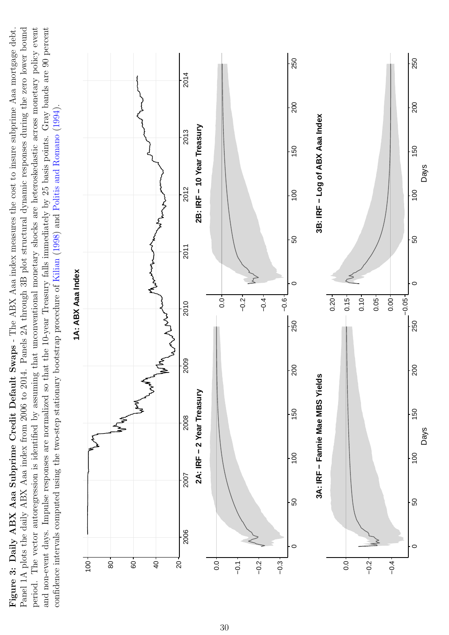<span id="page-30-0"></span>Panel 1A plots the daily ABX Aaa index from 2006 to 2014. Panels 2A through 3B plot structural dynamic responses during the zero lower bound period. The vector autoregression is identified by assuming that unconventional monetary shocks are heteroskedastic across monetary policy event and non-event days. Impulse responses are normalized so that the 10-year Treasury falls immediately by 25 basis points. Gray bands are 90 percent Figure 3: Daily ABX Aaa Subprime Credit Default Swaps - The ABX Aaa index measures the cost to insure subprime Aaa mortgage debt. Figure 3: Daily ABX Aaa Subprime Credit Default Swaps - The ABX Aaa index measures the cost to insure subprime Aaa mortgage debt. Panel 1A plots the daily ABX Aaa index from 2006 to 2014. Panels 2A through 3B plot structural dynamic responses during the zero lower bound period. The vector autoregression is identified by assuming that unconventional monetary shocks are heteroskedastic across monetary policy event and non-event days. Impulse responses are normalized so that the 10-year Treasury falls immediately by 25 basis points. Gray bands are 90 percent confidence intervals computed using the two-step stationary bootstrap procedure of Kilian  $(1998)$  and Politis and Romano  $(1994)$ . confidence intervals computed using the two-step stationary bootstrap procedure of [Kilian](#page-25-15) [\(1998\)](#page-25-15) and Politis and [Romano](#page-25-16) [\(1994\)](#page-25-16).

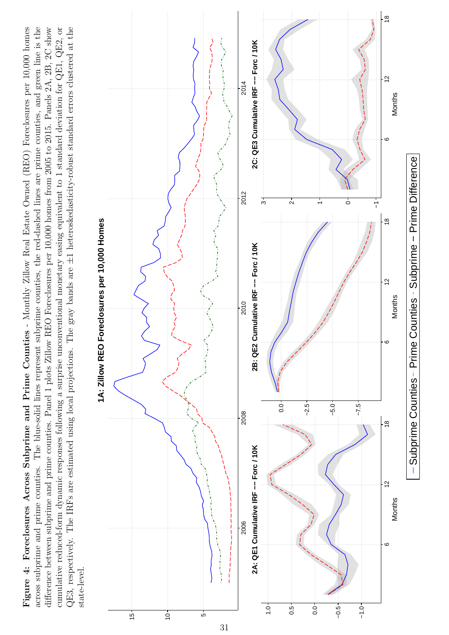<span id="page-31-0"></span>Figure 4: Foreclosures Across Subprime and Prime Counties - Monthly Zillow Real Estate Owned (REO) Foreclosures per 10,000 homes across subprime and prime counties. The blue-solid lines represent subprime counties, the red-dashed lines are prime counties, and green line is the difference between subprime and prime counties. Panel 1 plots Zillow REO Foreclosures per 10,000 homes from 2005 to 2015. Panels 2A, 2B, 2C show QE3, respectively. The IRFs are estimated using local projections. The gray bands are  $\pm 1$  heteroskedasticity-robust standard errors clustered at the cumulative reduced-form dynamic responses following a surprise unconventional monetary easing equivalent to 1 standard deviation for  $QED$ , or  $QED$ , or Figure 4: Foreclosures Across Subprime and Prime Counties - Monthly Zillow Real Estate Owned (REO) Foreclosures per 10,000 homes across subprime and prime counties. The blue-solid lines represent subprime counties, the red-dashed lines are prime counties, and green line is the difference between subprime and prime counties. Panel 1 plots Zillow REO Foreclosures per 10,000 homes from 2005 to 2015. Panels 2A, 2B, 2C show<br> QE3, respectively. The IRFs are estimated using local projections. The gray bands are ±1 heteroskedasticity-robust standard errors clustered at the cumulative reduced-form dynamic responses following a surprise unconventional monetary easing equivalent to 1 standard deviation for QE1, QE2, or state-level.



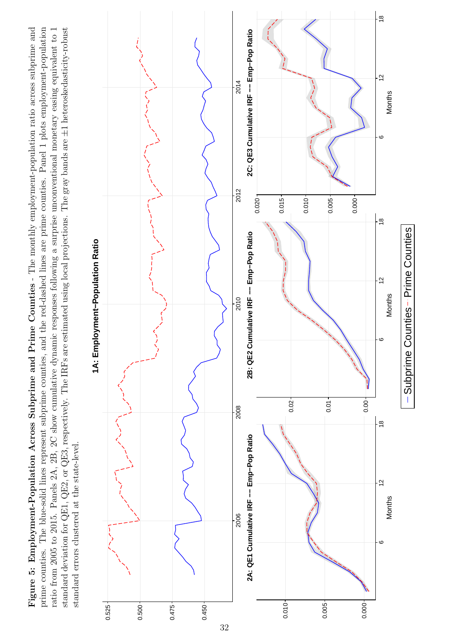<span id="page-32-0"></span>ratio from 2005 to 2015. Panels 2A, 2B, 2C show cumulative dynamic responses following a surprise unconventional monetary easing equivalent to 1 standard deviation for QE1, QE2, or QE3, respectively. The IRFs are estimated using local projections. The gray bands are  $\pm 1$  heteroskedasticity-robust Figure 5: Employment-Population Across Subprime and Prime Counties - The monthly employment-population ratio across subprime and prime counties. The blue-solid lines represent subprime counties, and the red-dashed lines are prime counties. Panel 1 plots employment-population ratio from 2005 to 2015. Panels 2A, 2B, 2C show cumulative dynamic responses following a surprise unconventional monetary easing equivalent to 1 Figure 5: Employment-Population Across Subprime and Prime Counties - The monthly employment-population ratio across subprime and prime counties. The blue-solid lines represent subprime counties, and the red-dashed lines are prime counties. Panel 1 plots employment-population ±1 heteroskedasticity-robust standard deviation for QE1, QE2, or QE3, respectively. The IRFs are estimated using local projections. The gray bands are standard errors clustered at the state-level. standard errors clustered at the state-level.



1A: Employment-Population Ratio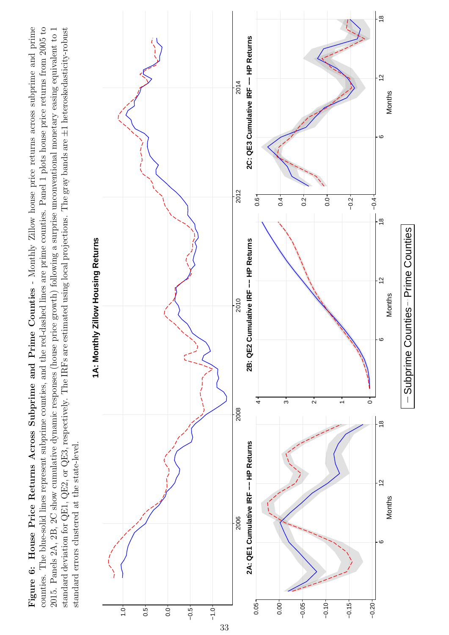<span id="page-33-0"></span>2015. Panels 2A, 2B, 2C show cumulative dynamic responses (house price growth) following a surprise unconventional monetary easing equivalent to 1 Figure 6: House Price Returns Across Subprime and Prime Counties - Monthly Zillow house price returns across subprime and prime counties. The blue-solid lines represent subprime counties, and the red-dashed lines are prime counties. Panel 1 plots house price returns from 2005 to standard deviation for QE1, QE2, or QE3, respectively. The IRFs are estimated using local projections. The gray bands are  $\pm 1$  heteroskedasticity-robust 2015. Panels 2A, 2B, 2C show cumulative dynamic responses (house price growth) following a surprise unconventional monetary easing equivalent to 1 Figure 6: House Price Returns Across Subprime and Prime Counties - Monthly Zillow house price returns across subprime and prime counties. The blue-solid lines represent subprime counties, and the red-dashed lines are prime counties. Panel 1 plots house price returns from 2005 to ±1 heteroskedasticity-robust standard deviation for QE1, QE2, or QE3, respectively. The IRFs are estimated using local projections. The gray bands are standard errors clustered at the state-level. standard errors clustered at the state-level.



1A: Monthly Zillow Housing Returns **1A: Monthly Zillow Housing Returns**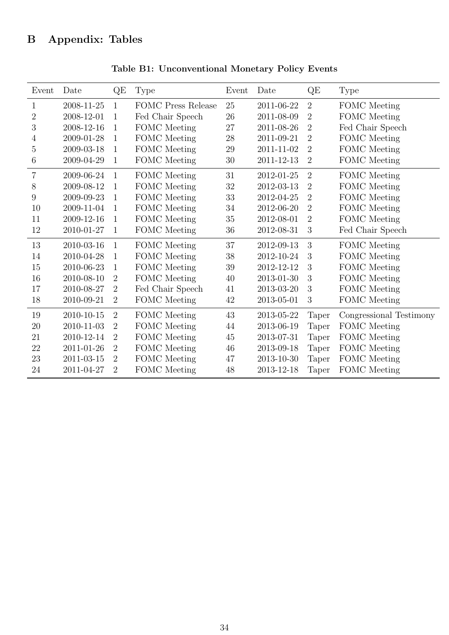<span id="page-34-1"></span><span id="page-34-0"></span>

| Event           | Date       | QE             | Type                      | Event  | Date             | QE             | <b>Type</b>             |  |
|-----------------|------------|----------------|---------------------------|--------|------------------|----------------|-------------------------|--|
| $\mathbf{1}$    | 2008-11-25 | 1              | <b>FOMC Press Release</b> | 25     | 2011-06-22       | $\overline{2}$ | <b>FOMC</b> Meeting     |  |
| $\overline{2}$  | 2008-12-01 | 1              | Fed Chair Speech          | 26     | 2011-08-09       | $\overline{2}$ | FOMC Meeting            |  |
| 3               | 2008-12-16 | $\mathbf{1}$   | FOMC Meeting              | $27\,$ | 2011-08-26       | $\overline{2}$ | Fed Chair Speech        |  |
| $\overline{4}$  | 2009-01-28 | $\mathbf{1}$   | FOMC Meeting              | $28\,$ | 2011-09-21       | $\overline{2}$ | FOMC Meeting            |  |
| $\overline{5}$  | 2009-03-18 | $\mathbf{1}$   | FOMC Meeting              | $29\,$ | 2011-11-02       | $\overline{2}$ | FOMC Meeting            |  |
| $6\phantom{.}6$ | 2009-04-29 | $\mathbf 1$    | FOMC Meeting              | 30     | 2011-12-13       | $\overline{2}$ | FOMC Meeting            |  |
| $\overline{7}$  | 2009-06-24 | $\mathbf{1}$   | FOMC Meeting              | 31     | 2012-01-25       | $\overline{2}$ | FOMC Meeting            |  |
| 8               | 2009-08-12 | $\mathbf{1}$   | FOMC Meeting              | $32\,$ | 2012-03-13       | $\overline{2}$ | FOMC Meeting            |  |
| 9               | 2009-09-23 | $\mathbf{1}$   | FOMC Meeting              | 33     | 2012-04-25       | $\overline{2}$ | FOMC Meeting            |  |
| 10              | 2009-11-04 | $\mathbf{1}$   | FOMC Meeting              | 34     | 2012-06-20       | $\overline{2}$ | FOMC Meeting            |  |
| 11              | 2009-12-16 | $\mathbf{1}$   | FOMC Meeting              | 35     | 2012-08-01       | $\overline{2}$ | FOMC Meeting            |  |
| 12              | 2010-01-27 | $\mathbf{1}$   | FOMC Meeting              | 36     | 2012-08-31       | 3              | Fed Chair Speech        |  |
| 13              | 2010-03-16 | $\mathbf{1}$   | <b>FOMC</b> Meeting       | 37     | 2012-09-13       | 3              | <b>FOMC</b> Meeting     |  |
| 14              | 2010-04-28 | $\mathbf{1}$   | FOMC Meeting              | 38     | 2012-10-24       | 3              | FOMC Meeting            |  |
| 15              | 2010-06-23 | $\mathbf{1}$   | FOMC Meeting              | $39\,$ | 2012-12-12       | 3              | FOMC Meeting            |  |
| 16              | 2010-08-10 | $\overline{2}$ | FOMC Meeting              | 40     | 2013-01-30       | 3              | FOMC Meeting            |  |
| 17              | 2010-08-27 | $\overline{2}$ | Fed Chair Speech          | 41     | 2013-03-20       | 3              | FOMC Meeting            |  |
| 18              | 2010-09-21 | $\overline{2}$ | FOMC Meeting              | 42     | 2013-05-01       | 3              | FOMC Meeting            |  |
| 19              | 2010-10-15 | $\overline{2}$ | <b>FOMC</b> Meeting       | 43     | 2013-05-22       | <b>Taper</b>   | Congressional Testimony |  |
| 20              | 2010-11-03 | $\overline{2}$ | FOMC Meeting              | 44     | 2013-06-19       | <b>Taper</b>   | FOMC Meeting            |  |
| 21              | 2010-12-14 | $\overline{2}$ | FOMC Meeting              | $45\,$ | $2013 - 07 - 31$ | Taper          | FOMC Meeting            |  |
| 22              | 2011-01-26 | $\overline{2}$ | FOMC Meeting              | $46\,$ | 2013-09-18       | Taper          | FOMC Meeting            |  |
| 23              | 2011-03-15 | $\overline{2}$ | FOMC Meeting              | 47     | 2013-10-30       | Taper          | FOMC Meeting            |  |
| 24              | 2011-04-27 | $\overline{2}$ | FOMC Meeting              | 48     | 2013-12-18       | <b>Taper</b>   | FOMC Meeting            |  |

Table B1: Unconventional Monetary Policy Events